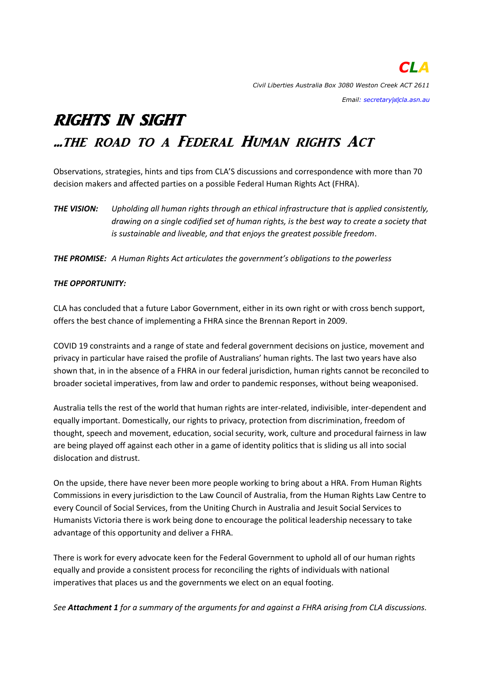#### *Email: secretary[at]cla.asn.au*

# RIGHTS IN SIGHT ...the road to a Federal Human rights Act

Observations, strategies, hints and tips from CLA'S discussions and correspondence with more than 70 decision makers and affected parties on a possible Federal Human Rights Act (FHRA).

*THE VISION: Upholding all human rights through an ethical infrastructure that is applied consistently, drawing on a single codified set of human rights, is the best way to create a society that is sustainable and liveable, and that enjoys the greatest possible freedom*.

*THE PROMISE: A Human Rights Act articulates the government's obligations to the powerless*

## *THE OPPORTUNITY:*

CLA has concluded that a future Labor Government, either in its own right or with cross bench support, offers the best chance of implementing a FHRA since the Brennan Report in 2009.

COVID 19 constraints and a range of state and federal government decisions on justice, movement and privacy in particular have raised the profile of Australians' human rights. The last two years have also shown that, in in the absence of a FHRA in our federal jurisdiction, human rights cannot be reconciled to broader societal imperatives, from law and order to pandemic responses, without being weaponised.

Australia tells the rest of the world that human rights are inter-related, indivisible, inter-dependent and equally important. Domestically, our rights to privacy, protection from discrimination, freedom of thought, speech and movement, education, social security, work, culture and procedural fairness in law are being played off against each other in a game of identity politics that is sliding us all into social dislocation and distrust.

On the upside, there have never been more people working to bring about a HRA. From Human Rights Commissions in every jurisdiction to the Law Council of Australia, from the Human Rights Law Centre to every Council of Social Services, from the Uniting Church in Australia and Jesuit Social Services to Humanists Victoria there is work being done to encourage the political leadership necessary to take advantage of this opportunity and deliver a FHRA.

There is work for every advocate keen for the Federal Government to uphold all of our human rights equally and provide a consistent process for reconciling the rights of individuals with national imperatives that places us and the governments we elect on an equal footing.

*See Attachment 1 for a summary of the arguments for and against a FHRA arising from CLA discussions.*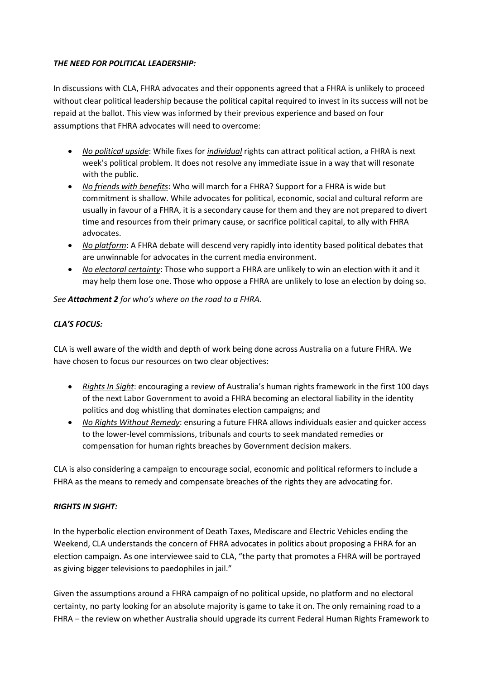## *THE NEED FOR POLITICAL LEADERSHIP:*

In discussions with CLA, FHRA advocates and their opponents agreed that a FHRA is unlikely to proceed without clear political leadership because the political capital required to invest in its success will not be repaid at the ballot. This view was informed by their previous experience and based on four assumptions that FHRA advocates will need to overcome:

- *No political upside*: While fixes for *individual* rights can attract political action, a FHRA is next week's political problem. It does not resolve any immediate issue in a way that will resonate with the public.
- *No friends with benefits*: Who will march for a FHRA? Support for a FHRA is wide but commitment is shallow. While advocates for political, economic, social and cultural reform are usually in favour of a FHRA, it is a secondary cause for them and they are not prepared to divert time and resources from their primary cause, or sacrifice political capital, to ally with FHRA advocates.
- *No platform*: A FHRA debate will descend very rapidly into identity based political debates that are unwinnable for advocates in the current media environment.
- *No electoral certainty*: Those who support a FHRA are unlikely to win an election with it and it may help them lose one. Those who oppose a FHRA are unlikely to lose an election by doing so.

## *See Attachment 2 for who's where on the road to a FHRA.*

## *CLA'S FOCUS:*

CLA is well aware of the width and depth of work being done across Australia on a future FHRA. We have chosen to focus our resources on two clear objectives:

- *Rights In Sight*: encouraging a review of Australia's human rights framework in the first 100 days of the next Labor Government to avoid a FHRA becoming an electoral liability in the identity politics and dog whistling that dominates election campaigns; and
- *No Rights Without Remedy*: ensuring a future FHRA allows individuals easier and quicker access to the lower-level commissions, tribunals and courts to seek mandated remedies or compensation for human rights breaches by Government decision makers.

CLA is also considering a campaign to encourage social, economic and political reformers to include a FHRA as the means to remedy and compensate breaches of the rights they are advocating for.

## *RIGHTS IN SIGHT:*

In the hyperbolic election environment of Death Taxes, Mediscare and Electric Vehicles ending the Weekend, CLA understands the concern of FHRA advocates in politics about proposing a FHRA for an election campaign. As one interviewee said to CLA, "the party that promotes a FHRA will be portrayed as giving bigger televisions to paedophiles in jail."

Given the assumptions around a FHRA campaign of no political upside, no platform and no electoral certainty, no party looking for an absolute majority is game to take it on. The only remaining road to a FHRA – the review on whether Australia should upgrade its current Federal Human Rights Framework to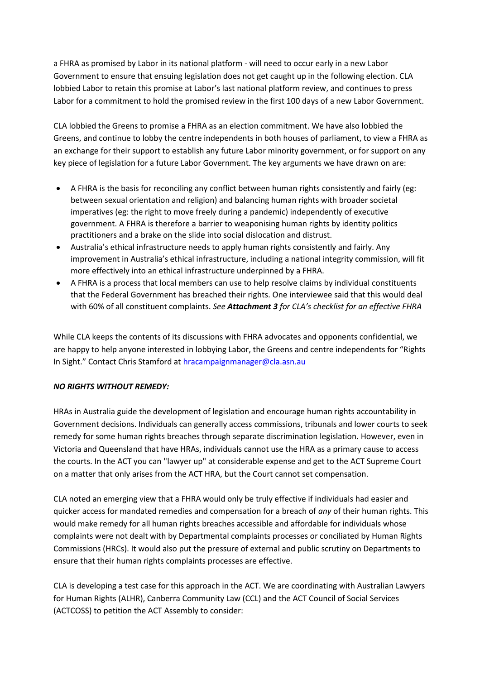a FHRA as promised by Labor in its national platform - will need to occur early in a new Labor Government to ensure that ensuing legislation does not get caught up in the following election. CLA lobbied Labor to retain this promise at Labor's last national platform review, and continues to press Labor for a commitment to hold the promised review in the first 100 days of a new Labor Government.

CLA lobbied the Greens to promise a FHRA as an election commitment. We have also lobbied the Greens, and continue to lobby the centre independents in both houses of parliament, to view a FHRA as an exchange for their support to establish any future Labor minority government, or for support on any key piece of legislation for a future Labor Government. The key arguments we have drawn on are:

- A FHRA is the basis for reconciling any conflict between human rights consistently and fairly (eg: between sexual orientation and religion) and balancing human rights with broader societal imperatives (eg: the right to move freely during a pandemic) independently of executive government. A FHRA is therefore a barrier to weaponising human rights by identity politics practitioners and a brake on the slide into social dislocation and distrust.
- Australia's ethical infrastructure needs to apply human rights consistently and fairly. Any improvement in Australia's ethical infrastructure, including a national integrity commission, will fit more effectively into an ethical infrastructure underpinned by a FHRA.
- A FHRA is a process that local members can use to help resolve claims by individual constituents that the Federal Government has breached their rights. One interviewee said that this would deal with 60% of all constituent complaints. *See Attachment 3 for CLA's checklist for an effective FHRA*

While CLA keeps the contents of its discussions with FHRA advocates and opponents confidential, we are happy to help anyone interested in lobbying Labor, the Greens and centre independents for "Rights In Sight." Contact Chris Stamford at [hracampaignmanager@cla.asn.au](file:///C:/Users/heather1/Documents/Chris/HR%20submissions%20and%20briefs/hracampaignmanager@cla.asn.au)

## *NO RIGHTS WITHOUT REMEDY:*

HRAs in Australia guide the development of legislation and encourage human rights accountability in Government decisions. Individuals can generally access commissions, tribunals and lower courts to seek remedy for some human rights breaches through separate discrimination legislation. However, even in Victoria and Queensland that have HRAs, individuals cannot use the HRA as a primary cause to access the courts. In the ACT you can "lawyer up" at considerable expense and get to the ACT Supreme Court on a matter that only arises from the ACT HRA, but the Court cannot set compensation.

CLA noted an emerging view that a FHRA would only be truly effective if individuals had easier and quicker access for mandated remedies and compensation for a breach of *any* of their human rights. This would make remedy for all human rights breaches accessible and affordable for individuals whose complaints were not dealt with by Departmental complaints processes or conciliated by Human Rights Commissions (HRCs). It would also put the pressure of external and public scrutiny on Departments to ensure that their human rights complaints processes are effective.

CLA is developing a test case for this approach in the ACT. We are coordinating with Australian Lawyers for Human Rights (ALHR), Canberra Community Law (CCL) and the ACT Council of Social Services (ACTCOSS) to petition the ACT Assembly to consider: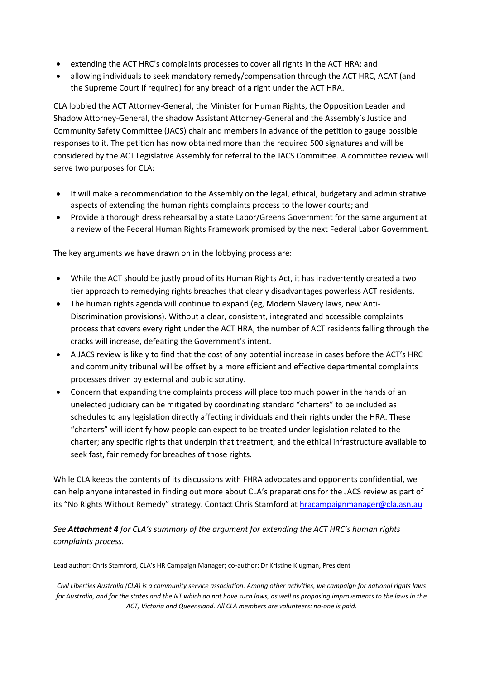- extending the ACT HRC's complaints processes to cover all rights in the ACT HRA; and
- allowing individuals to seek mandatory remedy/compensation through the ACT HRC, ACAT (and the Supreme Court if required) for any breach of a right under the ACT HRA.

CLA lobbied the ACT Attorney-General, the Minister for Human Rights, the Opposition Leader and Shadow Attorney-General, the shadow Assistant Attorney-General and the Assembly's Justice and Community Safety Committee (JACS) chair and members in advance of the petition to gauge possible responses to it. The petition has now obtained more than the required 500 signatures and will be considered by the ACT Legislative Assembly for referral to the JACS Committee. A committee review will serve two purposes for CLA:

- It will make a recommendation to the Assembly on the legal, ethical, budgetary and administrative aspects of extending the human rights complaints process to the lower courts; and
- Provide a thorough dress rehearsal by a state Labor/Greens Government for the same argument at a review of the Federal Human Rights Framework promised by the next Federal Labor Government.

The key arguments we have drawn on in the lobbying process are:

- While the ACT should be justly proud of its Human Rights Act, it has inadvertently created a two tier approach to remedying rights breaches that clearly disadvantages powerless ACT residents.
- The human rights agenda will continue to expand (eg, Modern Slavery laws, new Anti-Discrimination provisions). Without a clear, consistent, integrated and accessible complaints process that covers every right under the ACT HRA, the number of ACT residents falling through the cracks will increase, defeating the Government's intent.
- A JACS review is likely to find that the cost of any potential increase in cases before the ACT's HRC and community tribunal will be offset by a more efficient and effective departmental complaints processes driven by external and public scrutiny.
- Concern that expanding the complaints process will place too much power in the hands of an unelected judiciary can be mitigated by coordinating standard "charters" to be included as schedules to any legislation directly affecting individuals and their rights under the HRA. These "charters" will identify how people can expect to be treated under legislation related to the charter; any specific rights that underpin that treatment; and the ethical infrastructure available to seek fast, fair remedy for breaches of those rights.

While CLA keeps the contents of its discussions with FHRA advocates and opponents confidential, we can help anyone interested in finding out more about CLA's preparations for the JACS review as part of its "No Rights Without Remedy" strategy. Contact Chris Stamford at [hracampaignmanager@cla.asn.au](file:///C:/Users/heather1/Documents/Chris/HR%20submissions%20and%20briefs/hracampaignmanager@cla.asn.au)

*See Attachment 4 for CLA's summary of the argument for extending the ACT HRC's human rights complaints process.* 

Lead author: Chris Stamford, CLA's HR Campaign Manager; co-author: Dr Kristine Klugman, President

*Civil Liberties Australia (CLA) is a community service association. Among other activities, we campaign for national rights laws for Australia, and for the states and the NT which do not have such laws, as well as proposing improvements to the laws in the ACT, Victoria and Queensland. All CLA members are volunteers: no-one is paid.*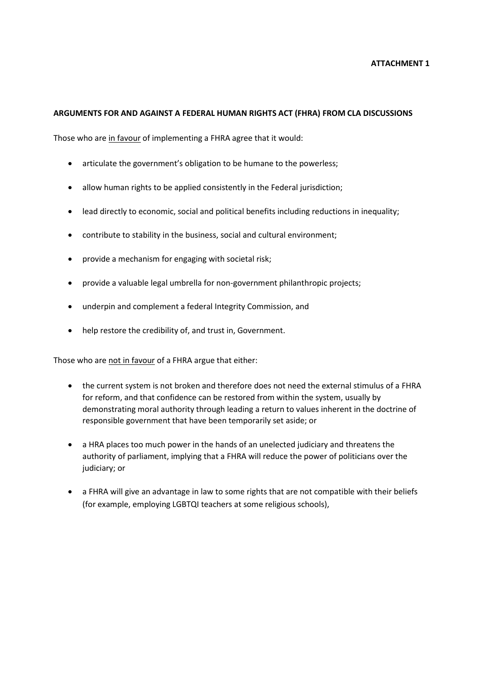#### **ARGUMENTS FOR AND AGAINST A FEDERAL HUMAN RIGHTS ACT (FHRA) FROM CLA DISCUSSIONS**

Those who are in favour of implementing a FHRA agree that it would:

- articulate the government's obligation to be humane to the powerless;
- allow human rights to be applied consistently in the Federal jurisdiction;
- lead directly to economic, social and political benefits including reductions in inequality;
- contribute to stability in the business, social and cultural environment;
- provide a mechanism for engaging with societal risk;
- provide a valuable legal umbrella for non-government philanthropic projects;
- underpin and complement a federal Integrity Commission, and
- help restore the credibility of, and trust in, Government.

Those who are not in favour of a FHRA argue that either:

- the current system is not broken and therefore does not need the external stimulus of a FHRA for reform, and that confidence can be restored from within the system, usually by demonstrating moral authority through leading a return to values inherent in the doctrine of responsible government that have been temporarily set aside; or
- a HRA places too much power in the hands of an unelected judiciary and threatens the authority of parliament, implying that a FHRA will reduce the power of politicians over the judiciary; or
- a FHRA will give an advantage in law to some rights that are not compatible with their beliefs (for example, employing LGBTQI teachers at some religious schools),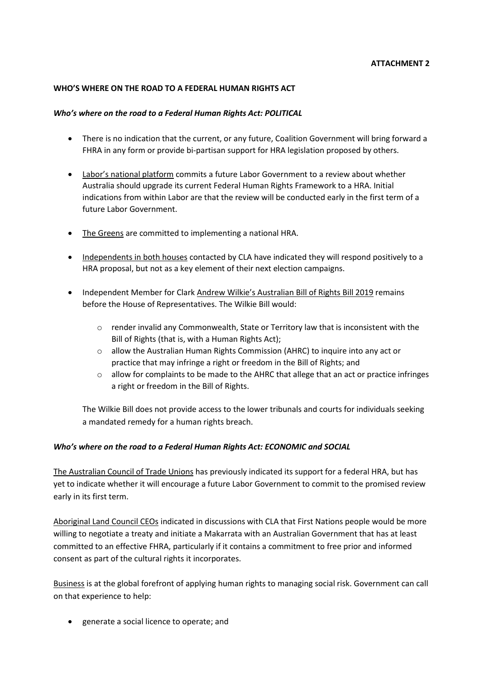### **ATTACHMENT 2**

### **WHO'S WHERE ON THE ROAD TO A FEDERAL HUMAN RIGHTS ACT**

### *Who's where on the road to a Federal Human Rights Act: POLITICAL*

- There is no indication that the current, or any future, Coalition Government will bring forward a FHRA in any form or provide bi-partisan support for HRA legislation proposed by others.
- Labor's national platform commits a future Labor Government to a review about whether Australia should upgrade its current Federal Human Rights Framework to a HRA. Initial indications from within Labor are that the review will be conducted early in the first term of a future Labor Government.
- The Greens are committed to implementing a national HRA.
- Independents in both houses contacted by CLA have indicated they will respond positively to a HRA proposal, but not as a key element of their next election campaigns.
- Independent Member for Clark Andrew Wilkie's Australian Bill of Rights Bill 2019 remains before the House of Representatives. The Wilkie Bill would:
	- $\circ$  render invalid any Commonwealth, State or Territory law that is inconsistent with the Bill of Rights (that is, with a Human Rights Act);
	- o allow the Australian Human Rights Commission (AHRC) to inquire into any act or practice that may infringe a right or freedom in the Bill of Rights; and
	- o allow for complaints to be made to the AHRC that allege that an act or practice infringes a right or freedom in the Bill of Rights.

The Wilkie Bill does not provide access to the lower tribunals and courts for individuals seeking a mandated remedy for a human rights breach.

## *Who's where on the road to a Federal Human Rights Act: ECONOMIC and SOCIAL*

The Australian Council of Trade Unions has previously indicated its support for a federal HRA, but has yet to indicate whether it will encourage a future Labor Government to commit to the promised review early in its first term.

Aboriginal Land Council CEOs indicated in discussions with CLA that First Nations people would be more willing to negotiate a treaty and initiate a Makarrata with an Australian Government that has at least committed to an effective FHRA, particularly if it contains a commitment to free prior and informed consent as part of the cultural rights it incorporates.

Business is at the global forefront of applying human rights to managing social risk. Government can call on that experience to help:

generate a social licence to operate; and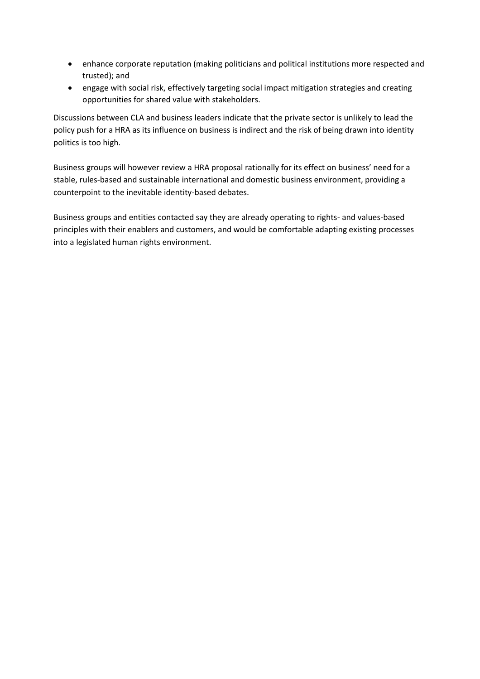- enhance corporate reputation (making politicians and political institutions more respected and trusted); and
- engage with social risk, effectively targeting social impact mitigation strategies and creating opportunities for shared value with stakeholders.

Discussions between CLA and business leaders indicate that the private sector is unlikely to lead the policy push for a HRA as its influence on business is indirect and the risk of being drawn into identity politics is too high.

Business groups will however review a HRA proposal rationally for its effect on business' need for a stable, rules-based and sustainable international and domestic business environment, providing a counterpoint to the inevitable identity-based debates.

Business groups and entities contacted say they are already operating to rights- and values-based principles with their enablers and customers, and would be comfortable adapting existing processes into a legislated human rights environment.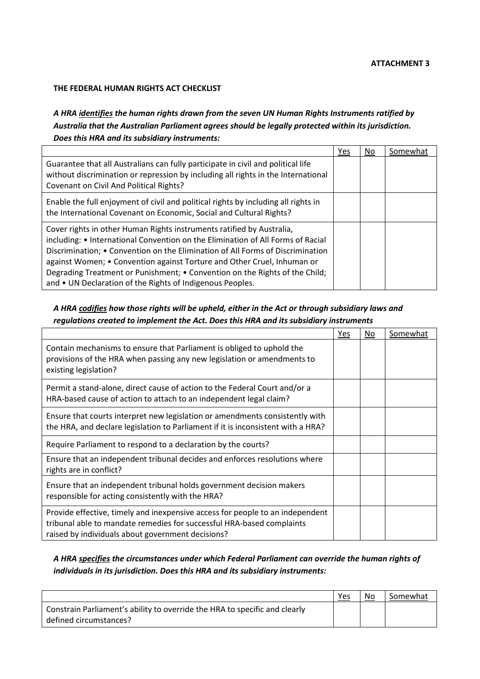#### **ATTACHMENT 3**

#### **THE FEDERAL HUMAN RIGHTS ACT CHECKLIST**

*A HRA identifies the human rights drawn from the seven UN Human Rights Instruments ratified by Australia that the Australian Parliament agrees should be legally protected within its jurisdiction. Does this HRA and its subsidiary instruments:*

|                                                                                                                                                                                                                                                                                                                                                                                                                                                                   | Yes | No | Somewhat |
|-------------------------------------------------------------------------------------------------------------------------------------------------------------------------------------------------------------------------------------------------------------------------------------------------------------------------------------------------------------------------------------------------------------------------------------------------------------------|-----|----|----------|
| Guarantee that all Australians can fully participate in civil and political life<br>without discrimination or repression by including all rights in the International<br>Covenant on Civil And Political Rights?                                                                                                                                                                                                                                                  |     |    |          |
| Enable the full enjoyment of civil and political rights by including all rights in<br>the International Covenant on Economic, Social and Cultural Rights?                                                                                                                                                                                                                                                                                                         |     |    |          |
| Cover rights in other Human Rights instruments ratified by Australia,<br>including: • International Convention on the Elimination of All Forms of Racial<br>Discrimination; • Convention on the Elimination of All Forms of Discrimination<br>against Women; • Convention against Torture and Other Cruel, Inhuman or<br>Degrading Treatment or Punishment; • Convention on the Rights of the Child;<br>and • UN Declaration of the Rights of Indigenous Peoples. |     |    |          |

## *A HRA codifies how those rights will be upheld, either in the Act or through subsidiary laws and regulations created to implement the Act. Does this HRA and its subsidiary instruments*

|                                                                                                                                                                                                             | Yes | No. | Somewhat |
|-------------------------------------------------------------------------------------------------------------------------------------------------------------------------------------------------------------|-----|-----|----------|
| Contain mechanisms to ensure that Parliament is obliged to uphold the<br>provisions of the HRA when passing any new legislation or amendments to<br>existing legislation?                                   |     |     |          |
| Permit a stand-alone, direct cause of action to the Federal Court and/or a<br>HRA-based cause of action to attach to an independent legal claim?                                                            |     |     |          |
| Ensure that courts interpret new legislation or amendments consistently with<br>the HRA, and declare legislation to Parliament if it is inconsistent with a HRA?                                            |     |     |          |
| Require Parliament to respond to a declaration by the courts?                                                                                                                                               |     |     |          |
| Ensure that an independent tribunal decides and enforces resolutions where<br>rights are in conflict?                                                                                                       |     |     |          |
| Ensure that an independent tribunal holds government decision makers<br>responsible for acting consistently with the HRA?                                                                                   |     |     |          |
| Provide effective, timely and inexpensive access for people to an independent<br>tribunal able to mandate remedies for successful HRA-based complaints<br>raised by individuals about government decisions? |     |     |          |

## *A HRA specifies the circumstances under which Federal Parliament can override the human rights of individuals in its jurisdiction. Does this HRA and its subsidiary instruments:*

|                                                                                                      | Yes | No | Somewhat |
|------------------------------------------------------------------------------------------------------|-----|----|----------|
| Constrain Parliament's ability to override the HRA to specific and clearly<br>defined circumstances? |     |    |          |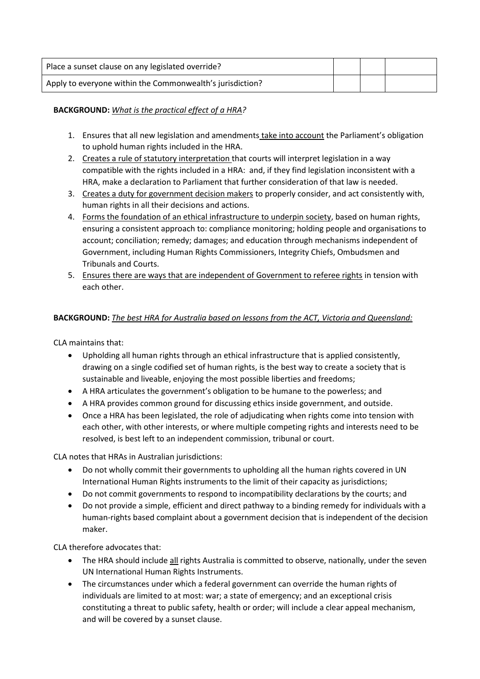| Place a sunset clause on any legislated override?         |  |  |
|-----------------------------------------------------------|--|--|
| Apply to everyone within the Commonwealth's jurisdiction? |  |  |

## **BACKGROUND:** *What is the practical effect of a HRA?*

- 1. Ensures that all new legislation and amendments take into account the Parliament's obligation to uphold human rights included in the HRA.
- 2. Creates a rule of statutory interpretation that courts will interpret legislation in a way compatible with the rights included in a HRA: and, if they find legislation inconsistent with a HRA, make a declaration to Parliament that further consideration of that law is needed.
- 3. Creates a duty for government decision makers to properly consider, and act consistently with, human rights in all their decisions and actions.
- 4. Forms the foundation of an ethical infrastructure to underpin society, based on human rights, ensuring a consistent approach to: compliance monitoring; holding people and organisations to account; conciliation; remedy; damages; and education through mechanisms independent of Government, including Human Rights Commissioners, Integrity Chiefs, Ombudsmen and Tribunals and Courts.
- 5. Ensures there are ways that are independent of Government to referee rights in tension with each other.

## **BACKGROUND:** *The best HRA for Australia based on lessons from the ACT, Victoria and Queensland:*

CLA maintains that:

- Upholding all human rights through an ethical infrastructure that is applied consistently, drawing on a single codified set of human rights, is the best way to create a society that is sustainable and liveable, enjoying the most possible liberties and freedoms;
- A HRA articulates the government's obligation to be humane to the powerless; and
- A HRA provides common ground for discussing ethics inside government, and outside.
- Once a HRA has been legislated, the role of adjudicating when rights come into tension with each other, with other interests, or where multiple competing rights and interests need to be resolved, is best left to an independent commission, tribunal or court.

CLA notes that HRAs in Australian jurisdictions:

- Do not wholly commit their governments to upholding all the human rights covered in UN International Human Rights instruments to the limit of their capacity as jurisdictions;
- Do not commit governments to respond to incompatibility declarations by the courts; and
- Do not provide a simple, efficient and direct pathway to a binding remedy for individuals with a human-rights based complaint about a government decision that is independent of the decision maker.

CLA therefore advocates that:

- The HRA should include all rights Australia is committed to observe, nationally, under the seven UN International Human Rights Instruments.
- The circumstances under which a federal government can override the human rights of individuals are limited to at most: war; a state of emergency; and an exceptional crisis constituting a threat to public safety, health or order; will include a clear appeal mechanism, and will be covered by a sunset clause.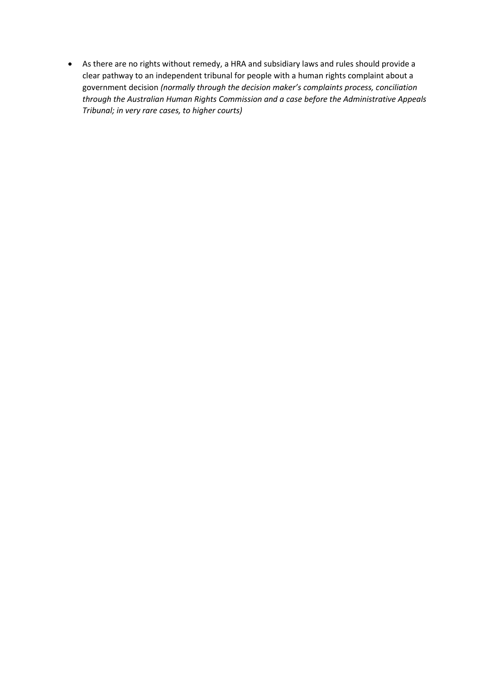As there are no rights without remedy, a HRA and subsidiary laws and rules should provide a clear pathway to an independent tribunal for people with a human rights complaint about a government decision *(normally through the decision maker's complaints process, conciliation through the Australian Human Rights Commission and a case before the Administrative Appeals Tribunal; in very rare cases, to higher courts)*